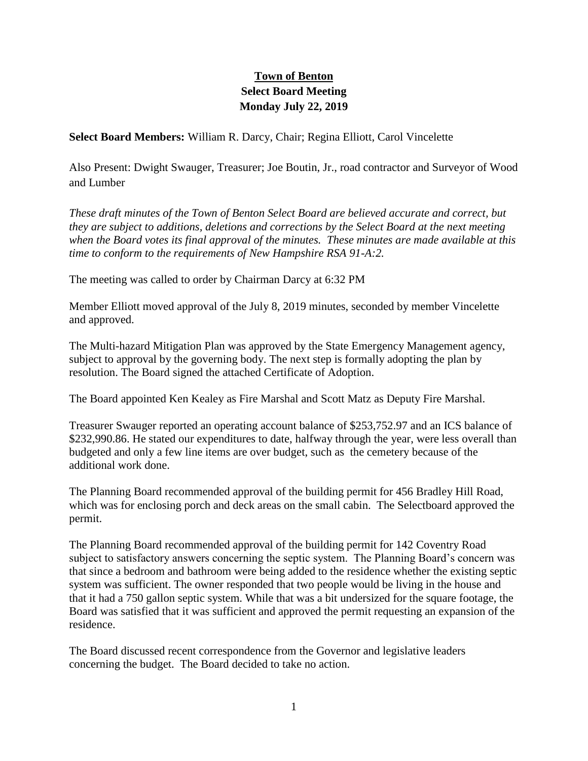# **Town of Benton Select Board Meeting Monday July 22, 2019**

**Select Board Members:** William R. Darcy, Chair; Regina Elliott, Carol Vincelette

Also Present: Dwight Swauger, Treasurer; Joe Boutin, Jr., road contractor and Surveyor of Wood and Lumber

*These draft minutes of the Town of Benton Select Board are believed accurate and correct, but they are subject to additions, deletions and corrections by the Select Board at the next meeting when the Board votes its final approval of the minutes. These minutes are made available at this time to conform to the requirements of New Hampshire RSA 91-A:2.*

The meeting was called to order by Chairman Darcy at 6:32 PM

Member Elliott moved approval of the July 8, 2019 minutes, seconded by member Vincelette and approved.

The Multi-hazard Mitigation Plan was approved by the State Emergency Management agency, subject to approval by the governing body. The next step is formally adopting the plan by resolution. The Board signed the attached Certificate of Adoption.

The Board appointed Ken Kealey as Fire Marshal and Scott Matz as Deputy Fire Marshal.

Treasurer Swauger reported an operating account balance of \$253,752.97 and an ICS balance of \$232,990.86. He stated our expenditures to date, halfway through the year, were less overall than budgeted and only a few line items are over budget, such as the cemetery because of the additional work done.

The Planning Board recommended approval of the building permit for 456 Bradley Hill Road, which was for enclosing porch and deck areas on the small cabin. The Selectboard approved the permit.

The Planning Board recommended approval of the building permit for 142 Coventry Road subject to satisfactory answers concerning the septic system. The Planning Board's concern was that since a bedroom and bathroom were being added to the residence whether the existing septic system was sufficient. The owner responded that two people would be living in the house and that it had a 750 gallon septic system. While that was a bit undersized for the square footage, the Board was satisfied that it was sufficient and approved the permit requesting an expansion of the residence.

The Board discussed recent correspondence from the Governor and legislative leaders concerning the budget. The Board decided to take no action.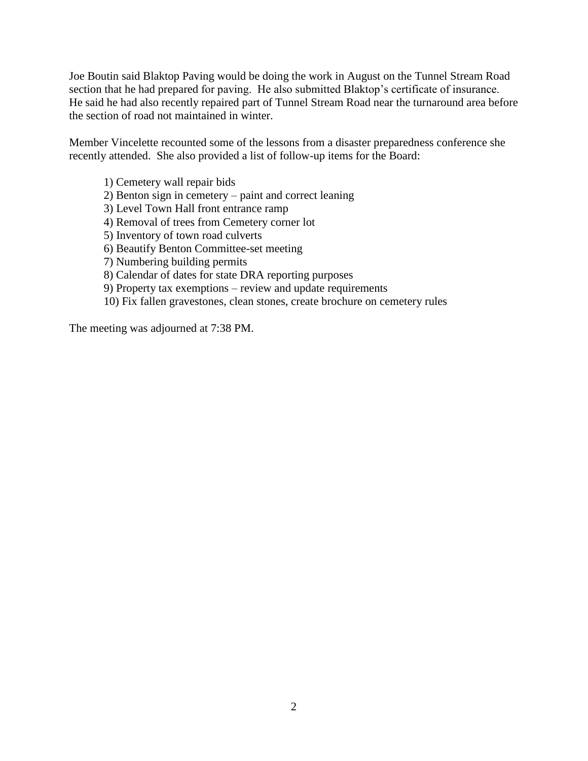Joe Boutin said Blaktop Paving would be doing the work in August on the Tunnel Stream Road section that he had prepared for paving. He also submitted Blaktop's certificate of insurance. He said he had also recently repaired part of Tunnel Stream Road near the turnaround area before the section of road not maintained in winter.

Member Vincelette recounted some of the lessons from a disaster preparedness conference she recently attended. She also provided a list of follow-up items for the Board:

1) Cemetery wall repair bids 2) Benton sign in cemetery – paint and correct leaning 3) Level Town Hall front entrance ramp 4) Removal of trees from Cemetery corner lot 5) Inventory of town road culverts 6) Beautify Benton Committee-set meeting 7) Numbering building permits 8) Calendar of dates for state DRA reporting purposes 9) Property tax exemptions – review and update requirements 10) Fix fallen gravestones, clean stones, create brochure on cemetery rules

The meeting was adjourned at 7:38 PM.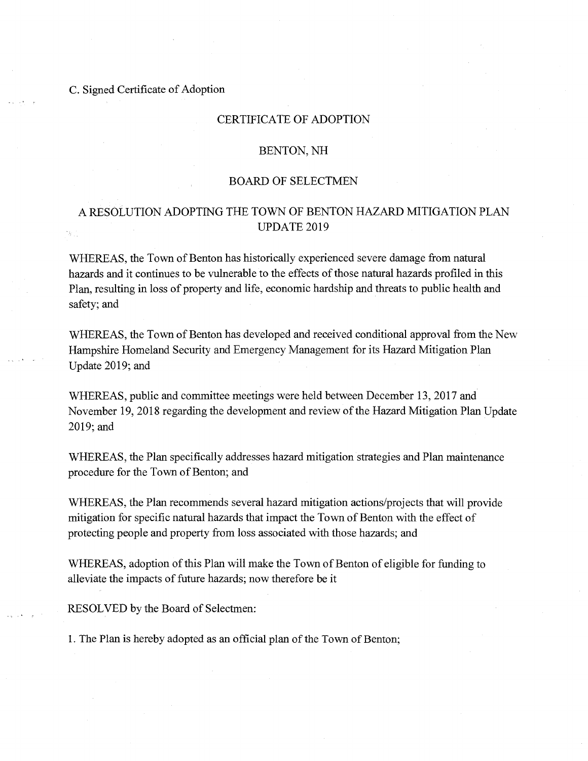## C. Signed Certificate of Adoption

## **CERTIFICATE OF ADOPTION**

#### BENTON, NH

#### **BOARD OF SELECTMEN**

# A RESOLUTION ADOPTING THE TOWN OF BENTON HAZARD MITIGATION PLAN UPDATE 2019

WHEREAS, the Town of Benton has historically experienced severe damage from natural hazards and it continues to be vulnerable to the effects of those natural hazards profiled in this Plan, resulting in loss of property and life, economic hardship and threats to public health and safety; and

WHEREAS, the Town of Benton has developed and received conditional approval from the New Hampshire Homeland Security and Emergency Management for its Hazard Mitigation Plan Update 2019; and

WHEREAS, public and committee meetings were held between December 13, 2017 and November 19, 2018 regarding the development and review of the Hazard Mitigation Plan Update 2019; and

WHEREAS, the Plan specifically addresses hazard mitigation strategies and Plan maintenance procedure for the Town of Benton; and

WHEREAS, the Plan recommends several hazard mitigation actions/projects that will provide mitigation for specific natural hazards that impact the Town of Benton with the effect of protecting people and property from loss associated with those hazards; and

WHEREAS, adoption of this Plan will make the Town of Benton of eligible for funding to alleviate the impacts of future hazards; now therefore be it

RESOLVED by the Board of Selectmen:

1. The Plan is hereby adopted as an official plan of the Town of Benton;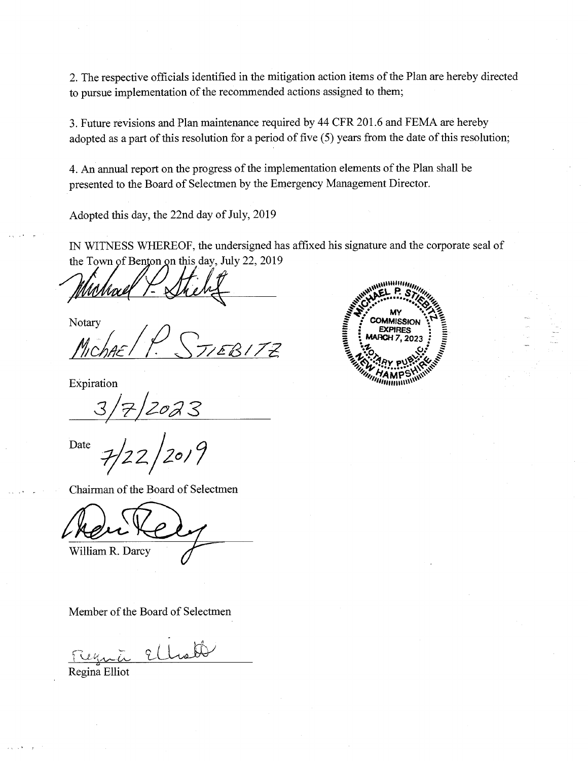2. The respective officials identified in the mitigation action items of the Plan are hereby directed to pursue implementation of the recommended actions assigned to them;

3. Future revisions and Plan maintenance required by 44 CFR 201.6 and FEMA are hereby adopted as a part of this resolution for a period of five (5) years from the date of this resolution;

4. An annual report on the progress of the implementation elements of the Plan shall be presented to the Board of Selectmen by the Emergency Management Director.

Adopted this day, the 22nd day of July, 2019

IN WITNESS WHEREOF, the undersigned has affixed his signature and the corporate seal of the Town of Benton on this day, July 22, 2019

Notary

TEB172

Expiration

2023

 $1_{20/9}$ Date

Chairman of the Board of Selectmen

William R. Darcy

Member of the Board of Selectmen

Ellioth